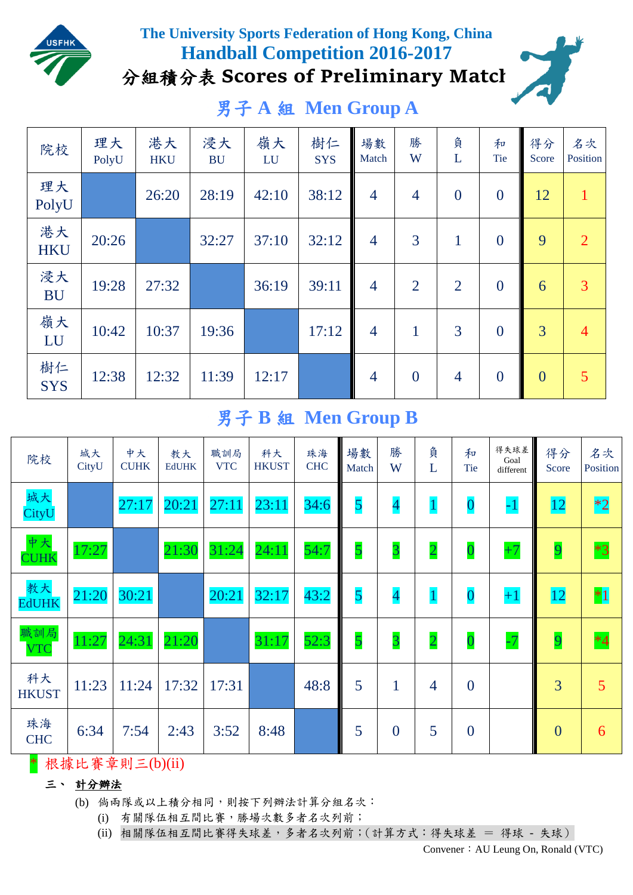

### **The University Sports Federation of Hong Kong, China Handball Competition 2016-2017** 分組積分表 **Scores of Preliminary Match**

# 男子 **A** 組 **Men Group A**



# 男子 **B** 組 **Men Group B**

| 院校                 | 城大<br>CityU | 中大<br><b>CUHK</b> | 教大<br><b>EdUHK</b> | 職訓局<br><b>VTC</b> | 科大<br><b>HKUST</b> | 珠海<br><b>CHC</b> | 場數<br>Match | 勝<br>W                   | 負<br>L         | 和<br><b>Tie</b>  | 得失球差  <br>Goal<br>different | 得分<br>Score    | 名次<br>Position |
|--------------------|-------------|-------------------|--------------------|-------------------|--------------------|------------------|-------------|--------------------------|----------------|------------------|-----------------------------|----------------|----------------|
| 城大<br>CityU        |             | 27:17             | 20:21              | 27:11             | 23:11              | 34:6             | 5           | $\overline{\mathcal{A}}$ |                | $\boldsymbol{0}$ | $-1$                        | <b>12</b>      | $ 2^*2 $       |
| 中大<br><b>CUHK</b>  | 17:27       |                   | 21:30              | 31:24             | 24:11              | 54:7             | 5           | $\overline{3}$           | $\overline{2}$ | $\overline{0}$   | $+7$                        | $\overline{9}$ | $*3$           |
| 教大<br><b>EdUHK</b> | 21:20       | 30:21             |                    | 20:21             | 32:17              | 43:2             | 5           | $\overline{\mathcal{A}}$ | $\mathbf{1}$   | $\bf{0}$         | $+1$                        | <b>12</b>      | $*1$           |
| 職訓局<br><b>VTC</b>  | 11:27       | 24:31             | 21:20              |                   | 31:17              | 52:3             | 5           | $\overline{3}$           | $\overline{2}$ | $\overline{0}$   | $-7$                        | $\overline{9}$ | $*4$           |
| 科大<br><b>HKUST</b> | 11:23       | 11:24             | 17:32              | 17:31             |                    | 48:8             | 5           | 1                        | $\overline{4}$ | $\overline{0}$   |                             | $\overline{3}$ | 5              |
| 珠海<br><b>CHC</b>   | 6:34        | 7:54              | 2:43               | 3:52              | 8:48               |                  | 5           | $\overline{0}$           | 5              | $\overline{0}$   |                             | $\mathbf{0}$   | 6              |

\* 根據比賽章則三(b)(ii)

#### 三、 計分辦法

- (b) 倘兩隊或以上積分相同,則按下列辦法計算分組名次:
	- (i) 有關隊伍相互間比賽,勝場次數多者名次列前;
	- (ii) 相關隊伍相互間比賽得失球差,多者名次列前;(計算方式:得失球差 = 得球 失球)